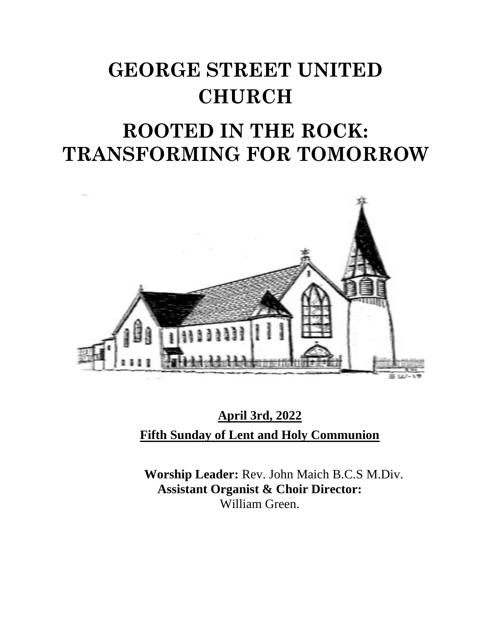# **GEORGE STREET UNITED CHURCH**

## **ROOTED IN THE ROCK: TRANSFORMING FOR TOMORROW**



**April 3rd, 2022 Fifth Sunday of Lent and Holy Communion**

**Worship Leader:** Rev. John Maich B.C.S M.Div. **Assistant Organist & Choir Director:**  William Green.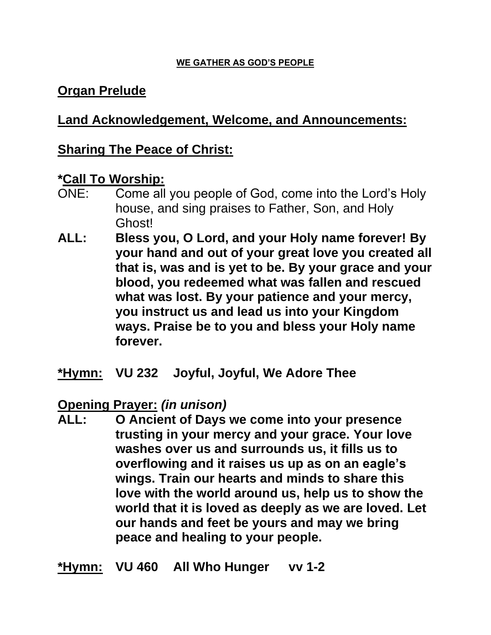#### **WE GATHER AS GOD'S PEOPLE**

### **Organ Prelude**

#### **Land Acknowledgement, Welcome, and Announcements:**

#### **Sharing The Peace of Christ:**

#### **\*Call To Worship:**

- ONE: Come all you people of God, come into the Lord's Holy house, and sing praises to Father, Son, and Holy Ghost!
- **ALL: Bless you, O Lord, and your Holy name forever! By your hand and out of your great love you created all that is, was and is yet to be. By your grace and your blood, you redeemed what was fallen and rescued what was lost. By your patience and your mercy, you instruct us and lead us into your Kingdom ways. Praise be to you and bless your Holy name forever.**
- **\*Hymn: VU 232 Joyful, Joyful, We Adore Thee**

**Opening Prayer:** *(in unison)*

**ALL: O Ancient of Days we come into your presence trusting in your mercy and your grace. Your love washes over us and surrounds us, it fills us to overflowing and it raises us up as on an eagle's wings. Train our hearts and minds to share this love with the world around us, help us to show the world that it is loved as deeply as we are loved. Let our hands and feet be yours and may we bring peace and healing to your people.**

**\*Hymn: VU 460 All Who Hunger vv 1-2**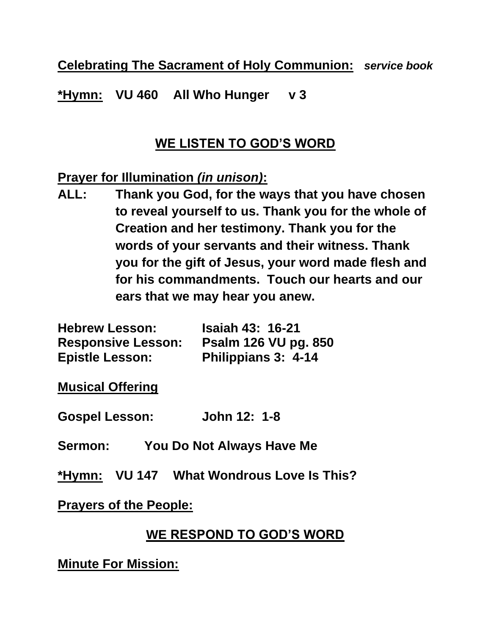**Celebrating The Sacrament of Holy Communion:** *service book*

**\*Hymn: VU 460 All Who Hunger v 3**

## **WE LISTEN TO GOD'S WORD**

### **Prayer for Illumination** *(in unison)***:**

**ALL: Thank you God, for the ways that you have chosen to reveal yourself to us. Thank you for the whole of Creation and her testimony. Thank you for the words of your servants and their witness. Thank you for the gift of Jesus, your word made flesh and for his commandments. Touch our hearts and our ears that we may hear you anew.**

| <b>Hebrew Lesson:</b>     | <b>Isaiah 43: 16-21</b>     |
|---------------------------|-----------------------------|
| <b>Responsive Lesson:</b> | <b>Psalm 126 VU pg. 850</b> |
| <b>Epistle Lesson:</b>    | Philippians 3: 4-14         |

**Musical Offering**

**Gospel Lesson: John 12: 1-8**

- **Sermon: You Do Not Always Have Me**
- **\*Hymn: VU 147 What Wondrous Love Is This?**

#### **Prayers of the People:**

## **WE RESPOND TO GOD'S WORD**

**Minute For Mission:**